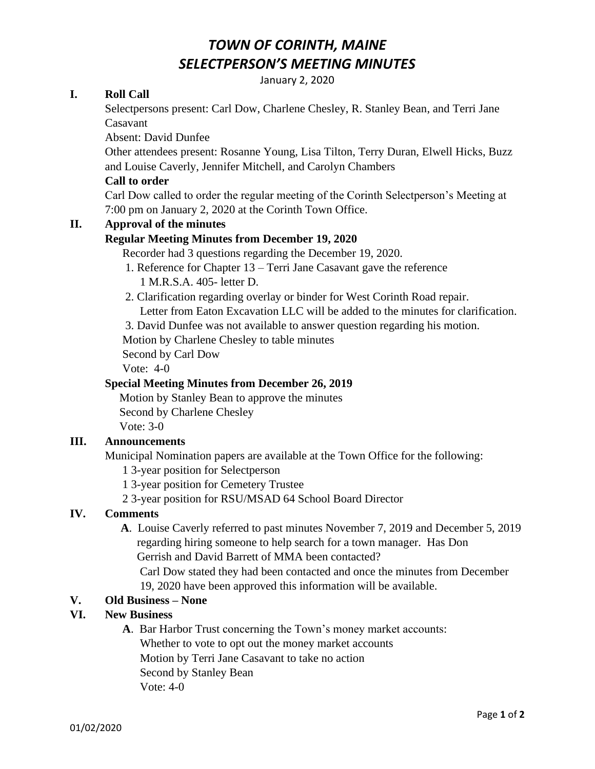## *TOWN OF CORINTH, MAINE SELECTPERSON'S MEETING MINUTES*

January 2, 2020

#### **I. Roll Call**

Selectpersons present: Carl Dow, Charlene Chesley, R. Stanley Bean, and Terri Jane Casavant

Absent: David Dunfee

Other attendees present: Rosanne Young, Lisa Tilton, Terry Duran, Elwell Hicks, Buzz and Louise Caverly, Jennifer Mitchell, and Carolyn Chambers

#### **Call to order**

Carl Dow called to order the regular meeting of the Corinth Selectperson's Meeting at 7:00 pm on January 2, 2020 at the Corinth Town Office.

#### **II. Approval of the minutes**

#### **Regular Meeting Minutes from December 19, 2020**

Recorder had 3 questions regarding the December 19, 2020.

- 1. Reference for Chapter 13 Terri Jane Casavant gave the reference 1 M.R.S.A. 405- letter D.
- 2. Clarification regarding overlay or binder for West Corinth Road repair. Letter from Eaton Excavation LLC will be added to the minutes for clarification.

3. David Dunfee was not available to answer question regarding his motion.

Motion by Charlene Chesley to table minutes

Second by Carl Dow

Vote: 4-0

#### **Special Meeting Minutes from December 26, 2019**

 Motion by Stanley Bean to approve the minutes Second by Charlene Chesley Vote: 3-0

#### **III. Announcements**

Municipal Nomination papers are available at the Town Office for the following:

- 1 3-year position for Selectperson
- 1 3-year position for Cemetery Trustee
- 2 3-year position for RSU/MSAD 64 School Board Director

### **IV. Comments**

 **A**. Louise Caverly referred to past minutes November 7, 2019 and December 5, 2019 regarding hiring someone to help search for a town manager. Has Don Gerrish and David Barrett of MMA been contacted?

Carl Dow stated they had been contacted and once the minutes from December 19, 2020 have been approved this information will be available.

#### **V. Old Business – None**

#### **VI. New Business**

**A**. Bar Harbor Trust concerning the Town's money market accounts: Whether to vote to opt out the money market accounts Motion by Terri Jane Casavant to take no action Second by Stanley Bean Vote: 4-0